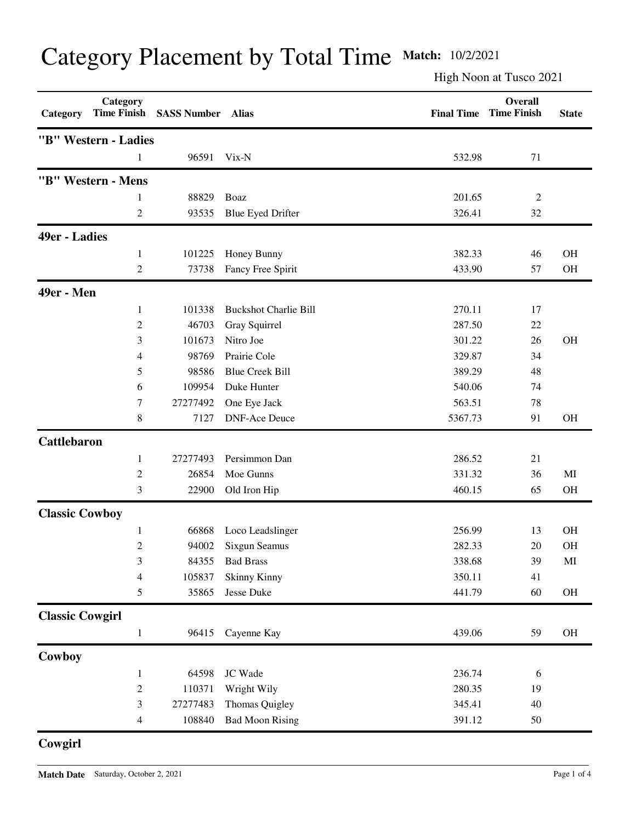|  | Category Placement by Total Time Match: 10/2/2021 |  |  |  |  |  |
|--|---------------------------------------------------|--|--|--|--|--|
|--|---------------------------------------------------|--|--|--|--|--|

High Noon at Tusco 2021

| Category               | Category<br><b>Time Finish</b> | <b>SASS Number</b> | <b>Alias</b>                 | <b>Final Time</b> | Overall<br><b>Time Finish</b> | <b>State</b>           |
|------------------------|--------------------------------|--------------------|------------------------------|-------------------|-------------------------------|------------------------|
|                        | "B" Western - Ladies           |                    |                              |                   |                               |                        |
|                        |                                | 96591              | Vix-N                        | 532.98            | 71                            |                        |
|                        | "B" Western - Mens             |                    |                              |                   |                               |                        |
|                        | 1                              | 88829              | Boaz                         | 201.65            | $\overline{c}$                |                        |
|                        | 2                              | 93535              | <b>Blue Eyed Drifter</b>     | 326.41            | 32                            |                        |
| 49er - Ladies          |                                |                    |                              |                   |                               |                        |
|                        | 1                              | 101225             | Honey Bunny                  | 382.33            | 46                            | <b>OH</b>              |
|                        | 2                              | 73738              | Fancy Free Spirit            | 433.90            | 57                            | OH                     |
| 49er - Men             |                                |                    |                              |                   |                               |                        |
|                        | 1                              | 101338             | <b>Buckshot Charlie Bill</b> | 270.11            | 17                            |                        |
|                        | $\overline{c}$                 | 46703              | Gray Squirrel                | 287.50            | 22                            |                        |
|                        | 3                              | 101673             | Nitro Joe                    | 301.22            | 26                            | <b>OH</b>              |
|                        | 4                              | 98769              | Prairie Cole                 | 329.87            | 34                            |                        |
|                        | 5                              | 98586              | <b>Blue Creek Bill</b>       | 389.29            | 48                            |                        |
|                        | 6                              | 109954             | Duke Hunter                  | 540.06            | 74                            |                        |
|                        | 7                              | 27277492           | One Eye Jack                 | 563.51            | 78                            |                        |
|                        | 8                              | 7127               | <b>DNF-Ace Deuce</b>         | 5367.73           | 91                            | OH                     |
| <b>Cattlebaron</b>     |                                |                    |                              |                   |                               |                        |
|                        | 1                              | 27277493           | Persimmon Dan                | 286.52            | 21                            |                        |
|                        | $\overline{c}$                 | 26854              | Moe Gunns                    | 331.32            | 36                            | MI                     |
|                        | 3                              | 22900              | Old Iron Hip                 | 460.15            | 65                            | OH                     |
| <b>Classic Cowboy</b>  |                                |                    |                              |                   |                               |                        |
|                        | 1                              | 66868              | Loco Leadslinger             | 256.99            | 13                            | <b>OH</b>              |
|                        | 2                              | 94002              | <b>Sixgun Seamus</b>         | 282.33            | 20                            | <b>OH</b>              |
|                        | $\mathfrak{Z}$                 | 84355              | <b>Bad Brass</b>             | 338.68            | 39                            | $\mathbf{M}\mathbf{I}$ |
|                        | $\overline{\mathcal{A}}$       | 105837             | <b>Skinny Kinny</b>          | 350.11            | 41                            |                        |
|                        | 5                              | 35865              | Jesse Duke                   | 441.79            | 60                            | $\rm OH$               |
| <b>Classic Cowgirl</b> |                                |                    |                              |                   |                               |                        |
|                        | $\mathbf{1}$                   | 96415              | Cayenne Kay                  | 439.06            | 59                            | OH                     |
| Cowboy                 |                                |                    |                              |                   |                               |                        |
|                        | $\mathbf{1}$                   | 64598              | JC Wade                      | 236.74            | 6                             |                        |
|                        | $\overline{c}$                 | 110371             | Wright Wily                  | 280.35            | 19                            |                        |
|                        | $\mathfrak{Z}$                 | 27277483           | Thomas Quigley               | 345.41            | 40                            |                        |
|                        | 4                              | 108840             | <b>Bad Moon Rising</b>       | 391.12            | 50                            |                        |

**Cowgirl**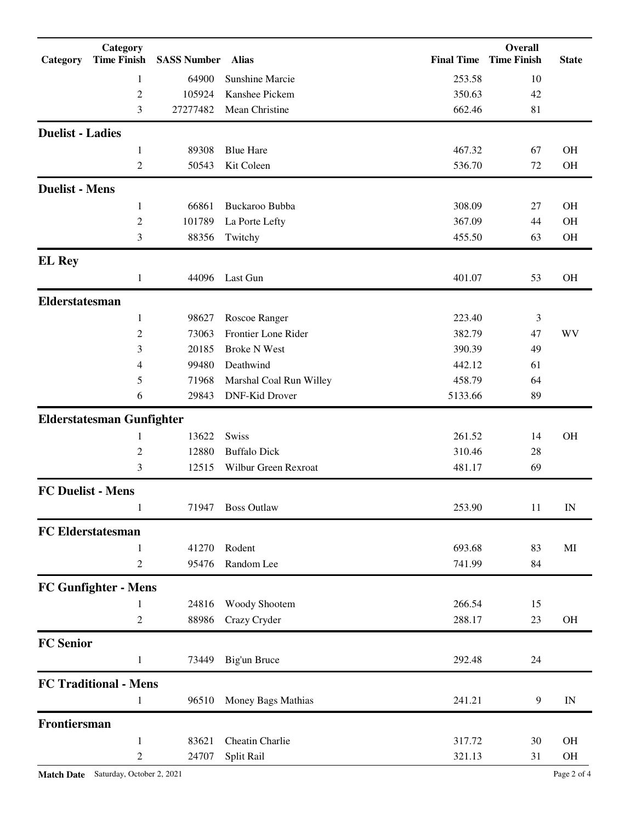| Category                 | Category<br><b>Time Finish</b>                               | <b>SASS Number</b> | Alias                   | <b>Final Time</b> | <b>Overall</b><br><b>Time Finish</b> | <b>State</b> |
|--------------------------|--------------------------------------------------------------|--------------------|-------------------------|-------------------|--------------------------------------|--------------|
|                          | 1                                                            | 64900              | <b>Sunshine Marcie</b>  | 253.58            | 10                                   |              |
|                          | $\overline{c}$                                               | 105924             | Kanshee Pickem          | 350.63            | 42                                   |              |
|                          | 3                                                            | 27277482           | Mean Christine          | 662.46            | 81                                   |              |
| <b>Duelist - Ladies</b>  |                                                              |                    |                         |                   |                                      |              |
|                          | 1                                                            | 89308              | <b>Blue Hare</b>        | 467.32            | 67                                   | <b>OH</b>    |
|                          | $\overline{c}$                                               | 50543              | Kit Coleen              | 536.70            | 72                                   | OH           |
| <b>Duelist - Mens</b>    |                                                              |                    |                         |                   |                                      |              |
|                          | 1                                                            | 66861              | Buckaroo Bubba          | 308.09            | 27                                   | <b>OH</b>    |
|                          | $\mathfrak{2}% =\mathfrak{2}\left( \mathfrak{2}\right) ^{2}$ | 101789             | La Porte Lefty          | 367.09            | 44                                   | <b>OH</b>    |
|                          | 3                                                            | 88356              | Twitchy                 | 455.50            | 63                                   | OH           |
| <b>EL Rey</b>            |                                                              |                    |                         |                   |                                      |              |
|                          | $\mathbf{1}$                                                 | 44096              | Last Gun                | 401.07            | 53                                   | <b>OH</b>    |
| Elderstatesman           |                                                              |                    |                         |                   |                                      |              |
|                          | 1                                                            | 98627              | Roscoe Ranger           | 223.40            | 3                                    |              |
|                          | $\mathfrak{2}% =\mathfrak{2}\left( \mathfrak{2}\right) ^{2}$ | 73063              | Frontier Lone Rider     | 382.79            | 47                                   | WV           |
|                          | 3                                                            | 20185              | <b>Broke N West</b>     | 390.39            | 49                                   |              |
|                          | 4                                                            | 99480              | Deathwind               | 442.12            | 61                                   |              |
|                          | 5                                                            | 71968              | Marshal Coal Run Willey | 458.79            | 64                                   |              |
|                          | 6                                                            | 29843              | DNF-Kid Drover          | 5133.66           | 89                                   |              |
|                          | <b>Elderstatesman Gunfighter</b>                             |                    |                         |                   |                                      |              |
|                          | 1                                                            | 13622              | Swiss                   | 261.52            | 14                                   | <b>OH</b>    |
|                          | $\overline{c}$                                               | 12880              | <b>Buffalo Dick</b>     | 310.46            | 28                                   |              |
|                          | 3                                                            | 12515              | Wilbur Green Rexroat    | 481.17            | 69                                   |              |
| <b>FC Duelist - Mens</b> |                                                              |                    |                         |                   |                                      |              |
|                          | $\mathbf{1}$                                                 | 71947              | <b>Boss Outlaw</b>      | 253.90            | 11                                   | IN           |
|                          | <b>FC Elderstatesman</b>                                     |                    |                         |                   |                                      |              |
|                          | 1                                                            | 41270              | Rodent                  | 693.68            | 83                                   | MI           |
|                          | $\overline{c}$                                               | 95476              | Random Lee              | 741.99            | 84                                   |              |
|                          | <b>FC Gunfighter - Mens</b>                                  |                    |                         |                   |                                      |              |
|                          | 1                                                            | 24816              | Woody Shootem           | 266.54            | 15                                   |              |
|                          | $\overline{c}$                                               | 88986              | Crazy Cryder            | 288.17            | 23                                   | OH           |
| <b>FC</b> Senior         |                                                              |                    |                         |                   |                                      |              |
|                          | $\mathbf{1}$                                                 | 73449              | Big'un Bruce            | 292.48            | 24                                   |              |
|                          | <b>FC Traditional - Mens</b>                                 |                    |                         |                   |                                      |              |
|                          | 1                                                            | 96510              | Money Bags Mathias      | 241.21            | 9                                    | IN           |
| Frontiersman             |                                                              |                    |                         |                   |                                      |              |
|                          | $\mathbf{1}$                                                 | 83621              | Cheatin Charlie         | 317.72            | 30                                   | OH           |
|                          | 2                                                            | 24707              | Split Rail              | 321.13            | 31                                   | OH           |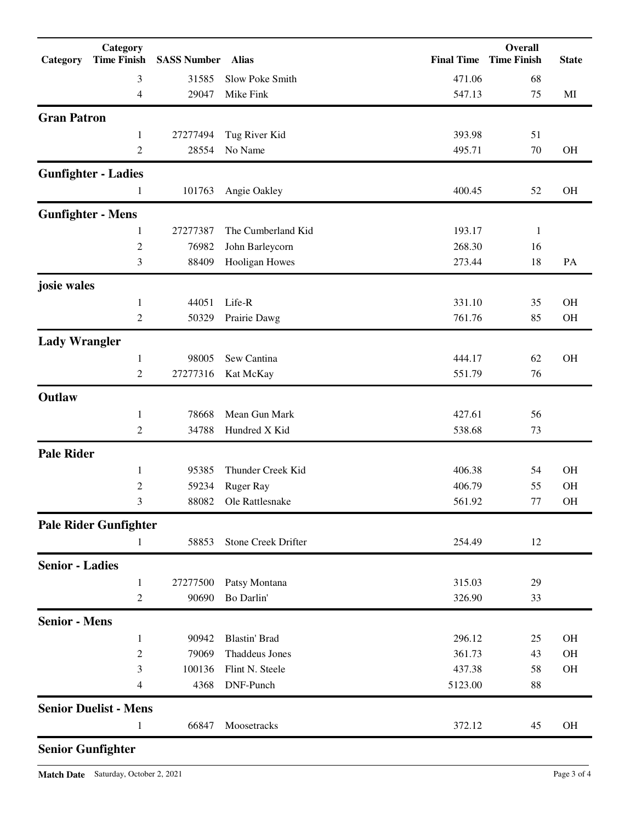| Category                 | Category<br><b>Time Finish</b> | <b>SASS Number Alias</b> |                       |         | Overall<br><b>Final Time Time Finish</b> | <b>State</b> |
|--------------------------|--------------------------------|--------------------------|-----------------------|---------|------------------------------------------|--------------|
|                          | 3                              | 31585                    | Slow Poke Smith       | 471.06  | 68                                       |              |
|                          | 4                              | 29047                    | Mike Fink             | 547.13  | 75                                       | MI           |
| <b>Gran Patron</b>       |                                |                          |                       |         |                                          |              |
|                          | 1                              | 27277494                 | Tug River Kid         | 393.98  | 51                                       |              |
|                          | 2                              | 28554                    | No Name               | 495.71  | 70                                       | OH           |
|                          | <b>Gunfighter - Ladies</b>     |                          |                       |         |                                          |              |
|                          | 1                              | 101763                   | Angie Oakley          | 400.45  | 52                                       | <b>OH</b>    |
| <b>Gunfighter - Mens</b> |                                |                          |                       |         |                                          |              |
|                          | 1                              | 27277387                 | The Cumberland Kid    | 193.17  | 1                                        |              |
|                          | $\boldsymbol{2}$               | 76982                    | John Barleycorn       | 268.30  | 16                                       |              |
|                          | 3                              | 88409                    | Hooligan Howes        | 273.44  | 18                                       | PA           |
| josie wales              |                                |                          |                       |         |                                          |              |
|                          | $\mathbf{1}$                   | 44051                    | Life-R                | 331.10  | 35                                       | OH           |
|                          | $\overline{2}$                 | 50329                    | Prairie Dawg          | 761.76  | 85                                       | OH           |
| <b>Lady Wrangler</b>     |                                |                          |                       |         |                                          |              |
|                          | 1                              | 98005                    | Sew Cantina           | 444.17  | 62                                       | OH           |
|                          | $\overline{2}$                 | 27277316                 | Kat McKay             | 551.79  | 76                                       |              |
| Outlaw                   |                                |                          |                       |         |                                          |              |
|                          | 1                              | 78668                    | Mean Gun Mark         | 427.61  | 56                                       |              |
|                          | 2                              | 34788                    | Hundred X Kid         | 538.68  | 73                                       |              |
| <b>Pale Rider</b>        |                                |                          |                       |         |                                          |              |
|                          | 1                              | 95385                    | Thunder Creek Kid     | 406.38  | 54                                       | <b>OH</b>    |
|                          | $\overline{c}$                 | 59234                    | <b>Ruger Ray</b>      | 406.79  | 55                                       | <b>OH</b>    |
|                          | 3                              |                          | 88082 Ole Rattlesnake | 561.92  | 77                                       | OH           |
|                          | <b>Pale Rider Gunfighter</b>   |                          |                       |         |                                          |              |
|                          | 1                              | 58853                    | Stone Creek Drifter   | 254.49  | 12                                       |              |
| <b>Senior - Ladies</b>   |                                |                          |                       |         |                                          |              |
|                          | $\mathbf{1}$                   | 27277500                 | Patsy Montana         | 315.03  | 29                                       |              |
|                          | 2                              | 90690                    | Bo Darlin'            | 326.90  | 33                                       |              |
| <b>Senior - Mens</b>     |                                |                          |                       |         |                                          |              |
|                          | $\mathbf{1}$                   | 90942                    | <b>Blastin' Brad</b>  | 296.12  | 25                                       | <b>OH</b>    |
|                          | $\sqrt{2}$                     | 79069                    | <b>Thaddeus Jones</b> | 361.73  | 43                                       | <b>OH</b>    |
|                          | 3                              | 100136                   | Flint N. Steele       | 437.38  | 58                                       | $\rm OH$     |
|                          | 4                              | 4368                     | DNF-Punch             | 5123.00 | 88                                       |              |
|                          | <b>Senior Duelist - Mens</b>   |                          |                       |         |                                          |              |
|                          | 1                              | 66847                    | Moosetracks           | 372.12  | 45                                       | <b>OH</b>    |
| <b>Senior Gunfighter</b> |                                |                          |                       |         |                                          |              |